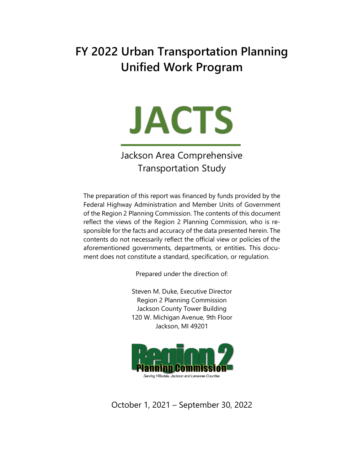## **FY 2022 Urban Transportation Planning Unified Work Program**

# JACTS

## Jackson Area Comprehensive Transportation Study

The preparation of this report was financed by funds provided by the Federal Highway Administration and Member Units of Government of the Region 2 Planning Commission. The contents of this document reflect the views of the Region 2 Planning Commission, who is responsible for the facts and accuracy of the data presented herein. The contents do not necessarily reflect the official view or policies of the aforementioned governments, departments, or entities. This document does not constitute a standard, specification, or regulation.

Prepared under the direction of:

Steven M. Duke, Executive Director Region 2 Planning Commission Jackson County Tower Building 120 W. Michigan Avenue, 9th Floor Jackson, MI 49201



October 1, 2021 – September 30, 2022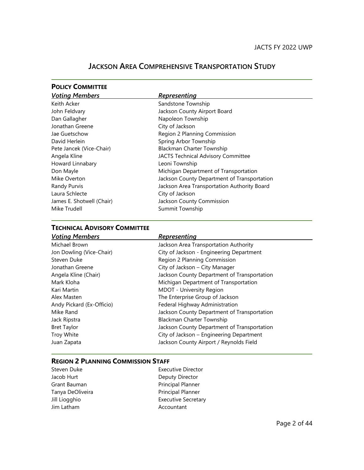## **JACKSON AREA COMPREHENSIVE TRANSPORTATION STUDY**

| <b>POLICY COMMITTEE</b>             |                                             |
|-------------------------------------|---------------------------------------------|
| <b>Voting Members</b>               | <u>Representing</u>                         |
| Keith Acker                         | Sandstone Township                          |
| John Feldvary                       | Jackson County Airport Board                |
| Dan Gallagher                       | Napoleon Township                           |
| Jonathan Greene                     | City of Jackson                             |
| Jae Guetschow                       | Region 2 Planning Commission                |
| David Herlein                       | Spring Arbor Township                       |
| Pete Jancek (Vice-Chair)            | Blackman Charter Township                   |
| Angela Kline                        | JACTS Technical Advisory Committee          |
| Howard Linnabary                    | Leoni Township                              |
| Don Mayle                           | Michigan Department of Transportation       |
| Mike Overton                        | Jackson County Department of Transportation |
| Randy Purvis                        | Jackson Area Transportation Authority Board |
| Laura Schlecte                      | City of Jackson                             |
| James E. Shotwell (Chair)           | Jackson County Commission                   |
| Mike Trudell                        | Summit Township                             |
| <b>TECHNICAL ADVISORY COMMITTEE</b> |                                             |
| <b>Voting Members</b>               | <u>Representing</u>                         |
| Michael Brown                       | Jackson Area Transportation Authority       |
| Jon Dowling (Vice-Chair)            | City of Jackson - Engineering Department    |
| Steven Duke                         | Region 2 Planning Commission                |
| Jonathan Greene                     | City of Jackson - City Manager              |
| Angela Kline (Chair)                | Jackson County Department of Transportation |
| Mark Kloha                          | Michigan Department of Transportation       |
| Kari Martin                         | MDOT - University Region                    |
| Alex Masten                         | The Enterprise Group of Jackson             |
| Andy Pickard (Ex-Officio)           | Federal Highway Administration              |
| Mike Rand                           | Jackson County Department of Transportation |
| Jack Ripstra                        | <b>Blackman Charter Township</b>            |
|                                     |                                             |
| <b>Bret Taylor</b>                  | Jackson County Department of Transportation |
| Troy White                          | City of Jackson - Engineering Department    |
| Juan Zapata                         | Jackson County Airport / Reynolds Field     |

#### **REGION 2 PLANNING COMMISSION STAFF**

Steven Duke **Executive Director** Jacob Hurt **Deputy Director** Grant Bauman **Principal Planner** Tanya DeOliveira **Principal Planner** Principal Planner Jim Latham Accountant

Jill Liogghio Executive Secretary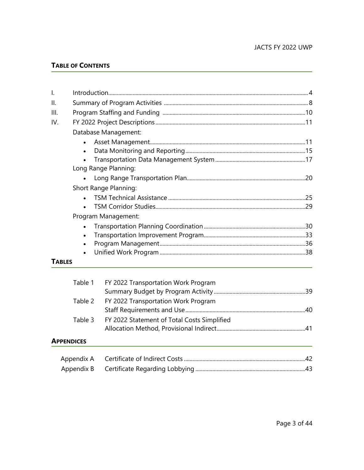#### JACTS FY 2022 UWP

#### **TABLE OF CONTENTS**

| $\mathsf{L}$  |                   |                                             |  |
|---------------|-------------------|---------------------------------------------|--|
| II.           |                   |                                             |  |
| III.          |                   |                                             |  |
| IV.           |                   |                                             |  |
|               |                   | Database Management:                        |  |
|               |                   |                                             |  |
|               |                   |                                             |  |
|               |                   |                                             |  |
|               |                   | Long Range Planning:                        |  |
|               |                   |                                             |  |
|               |                   | Short Range Planning:                       |  |
|               |                   |                                             |  |
|               |                   |                                             |  |
|               |                   | Program Management:                         |  |
|               |                   |                                             |  |
|               |                   |                                             |  |
|               |                   |                                             |  |
|               |                   |                                             |  |
| <b>TABLES</b> |                   |                                             |  |
|               | Table 1           | FY 2022 Transportation Work Program         |  |
|               |                   |                                             |  |
|               | Table 2           | FY 2022 Transportation Work Program         |  |
|               |                   |                                             |  |
|               | Table 3           | FY 2022 Statement of Total Costs Simplified |  |
|               |                   |                                             |  |
|               | <b>APPENDICES</b> |                                             |  |
|               | Appendix A        |                                             |  |
|               | Appendix B        |                                             |  |
|               |                   |                                             |  |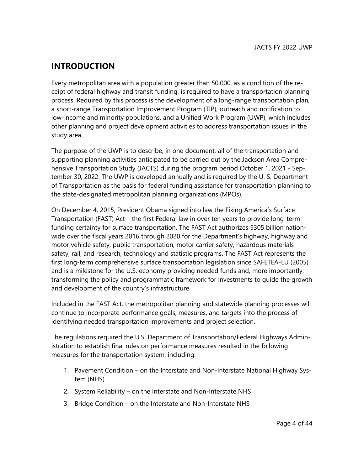## **INTRODUCTION**

Every metropolitan area with a population greater than 50,000, as a condition of the receipt of federal highway and transit funding, is required to have a transportation planning process. Required by this process is the development of a long-range transportation plan, a short-range Transportation Improvement Program (TIP), outreach and notification to low-income and minority populations, and a Unified Work Program (UWP), which includes other planning and project development activities to address transportation issues in the study area.

The purpose of the UWP is to describe, in one document, all of the transportation and supporting planning activities anticipated to be carried out by the Jackson Area Comprehensive Transportation Study (JACTS) during the program period October 1, 2021 - September 30, 2022. The UWP is developed annually and is required by the U. S. Department of Transportation as the basis for federal funding assistance for transportation planning to the state-designated metropolitan planning organizations (MPOs).

On December 4, 2015, President Obama signed into law the Fixing America's Surface Transportation (FAST) Act – the first Federal law in over ten years to provide long-term funding certainty for surface transportation. The FAST Act authorizes \$305 billion nationwide over the fiscal years 2016 through 2020 for the Department's highway, highway and motor vehicle safety, public transportation, motor carrier safety, hazardous materials safety, rail, and research, technology and statistic programs. The FAST Act represents the first long-term comprehensive surface transportation legislation since SAFETEA-LU (2005) and is a milestone for the U.S. economy providing needed funds and, more importantly, transforming the policy and programmatic framework for investments to guide the growth and development of the country's infrastructure.

Included in the FAST Act, the metropolitan planning and statewide planning processes will continue to incorporate performance goals, measures, and targets into the process of identifying needed transportation improvements and project selection.

The regulations required the U.S. Department of Transportation/Federal Highways Administration to establish final rules on performance measures resulted in the following measures for the transportation system, including:

- 1. Pavement Condition on the Interstate and Non-Interstate National Highway System (NHS)
- 2. System Reliability on the Interstate and Non-Interstate NHS
- 3. Bridge Condition on the Interstate and Non-Interstate NHS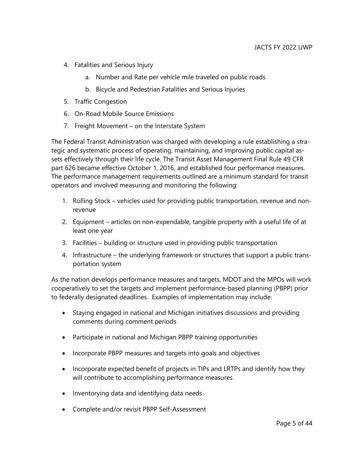- 4. Fatalities and Serious Injury
	- a. Number and Rate per vehicle mile traveled on public roads
	- b. Bicycle and Pedestrian Fatalities and Serious Injuries
- 5. Traffic Congestion
- 6. On-Road Mobile Source Emissions
- 7. Freight Movement on the Interstate System

The Federal Transit Administration was charged with developing a rule establishing a strategic and systematic process of operating, maintaining, and improving public capital assets effectively through their life cycle. The Transit Asset Management Final Rule 49 CFR part 626 became effective October 1, 2016, and established four performance measures. The performance management requirements outlined are a minimum standard for transit operators and involved measuring and monitoring the following:

- 1. Rolling Stock vehicles used for providing public transportation, revenue and nonrevenue
- 2. Equipment articles on non-expendable, tangible property with a useful life of at least one year
- 3. Facilities building or structure used in providing public transportation
- 4. Infrastructure the underlying framework or structures that support a public transportation system

As the nation develops performance measures and targets, MDOT and the MPOs will work cooperatively to set the targets and implement performance-based planning (PBPP) prior to federally designated deadlines. Examples of implementation may include:

- Staying engaged in national and Michigan initiatives discussions and providing comments during comment periods
- Participate in national and Michigan PBPP training opportunities
- Incorporate PBPP measures and targets into goals and objectives
- Incorporate expected benefit of projects in TIPs and LRTPs and identify how they will contribute to accomplishing performance measures
- Inventorying data and identifying data needs
- Complete and/or revisit PBPP Self-Assessment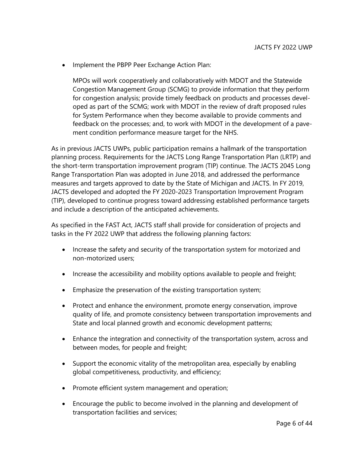• Implement the PBPP Peer Exchange Action Plan:

MPOs will work cooperatively and collaboratively with MDOT and the Statewide Congestion Management Group (SCMG) to provide information that they perform for congestion analysis; provide timely feedback on products and processes developed as part of the SCMG; work with MDOT in the review of draft proposed rules for System Performance when they become available to provide comments and feedback on the processes; and, to work with MDOT in the development of a pavement condition performance measure target for the NHS.

As in previous JACTS UWPs, public participation remains a hallmark of the transportation planning process. Requirements for the JACTS Long Range Transportation Plan (LRTP) and the short-term transportation improvement program (TIP) continue. The JACTS 2045 Long Range Transportation Plan was adopted in June 2018, and addressed the performance measures and targets approved to date by the State of Michigan and JACTS. In FY 2019, JACTS developed and adopted the FY 2020-2023 Transportation Improvement Program (TIP), developed to continue progress toward addressing established performance targets and include a description of the anticipated achievements.

As specified in the FAST Act, JACTS staff shall provide for consideration of projects and tasks in the FY 2022 UWP that address the following planning factors:

- Increase the safety and security of the transportation system for motorized and non-motorized users;
- Increase the accessibility and mobility options available to people and freight;
- Emphasize the preservation of the existing transportation system;
- Protect and enhance the environment, promote energy conservation, improve quality of life, and promote consistency between transportation improvements and State and local planned growth and economic development patterns;
- Enhance the integration and connectivity of the transportation system, across and between modes, for people and freight;
- Support the economic vitality of the metropolitan area, especially by enabling global competitiveness, productivity, and efficiency;
- Promote efficient system management and operation;
- Encourage the public to become involved in the planning and development of transportation facilities and services;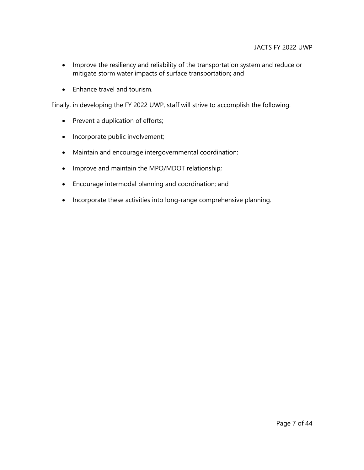- Improve the resiliency and reliability of the transportation system and reduce or mitigate storm water impacts of surface transportation; and
- Enhance travel and tourism.

Finally, in developing the FY 2022 UWP, staff will strive to accomplish the following:

- Prevent a duplication of efforts;
- Incorporate public involvement;
- Maintain and encourage intergovernmental coordination;
- Improve and maintain the MPO/MDOT relationship;
- Encourage intermodal planning and coordination; and
- Incorporate these activities into long-range comprehensive planning.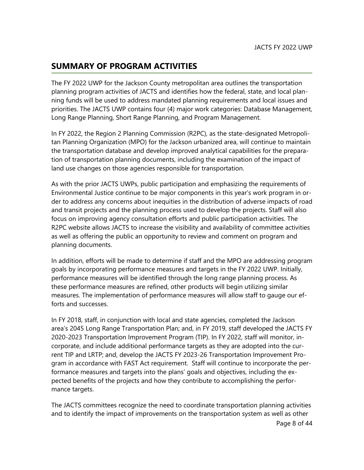## **SUMMARY OF PROGRAM ACTIVITIES**

The FY 2022 UWP for the Jackson County metropolitan area outlines the transportation planning program activities of JACTS and identifies how the federal, state, and local planning funds will be used to address mandated planning requirements and local issues and priorities. The JACTS UWP contains four (4) major work categories: Database Management, Long Range Planning, Short Range Planning, and Program Management.

In FY 2022, the Region 2 Planning Commission (R2PC), as the state-designated Metropolitan Planning Organization (MPO) for the Jackson urbanized area, will continue to maintain the transportation database and develop improved analytical capabilities for the preparation of transportation planning documents, including the examination of the impact of land use changes on those agencies responsible for transportation.

As with the prior JACTS UWPs, public participation and emphasizing the requirements of Environmental Justice continue to be major components in this year's work program in order to address any concerns about inequities in the distribution of adverse impacts of road and transit projects and the planning process used to develop the projects. Staff will also focus on improving agency consultation efforts and public participation activities. The R2PC website allows JACTS to increase the visibility and availability of committee activities as well as offering the public an opportunity to review and comment on program and planning documents.

In addition, efforts will be made to determine if staff and the MPO are addressing program goals by incorporating performance measures and targets in the FY 2022 UWP. Initially, performance measures will be identified through the long range planning process. As these performance measures are refined, other products will begin utilizing similar measures. The implementation of performance measures will allow staff to gauge our efforts and successes.

In FY 2018, staff, in conjunction with local and state agencies, completed the Jackson area's 2045 Long Range Transportation Plan; and, in FY 2019, staff developed the JACTS FY 2020-2023 Transportation Improvement Program (TIP). In FY 2022, staff will monitor, incorporate, and include additional performance targets as they are adopted into the current TIP and LRTP; and, develop the JACTS FY 2023-26 Transportation Improvement Program in accordance with FAST Act requirement. Staff will continue to incorporate the performance measures and targets into the plans' goals and objectives, including the expected benefits of the projects and how they contribute to accomplishing the performance targets.

The JACTS committees recognize the need to coordinate transportation planning activities and to identify the impact of improvements on the transportation system as well as other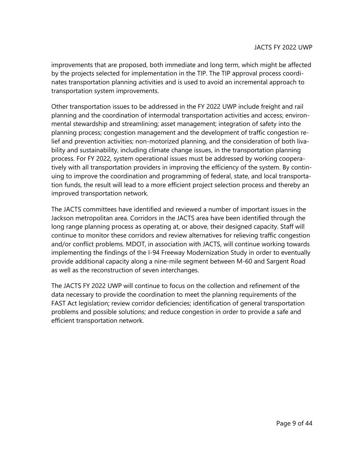improvements that are proposed, both immediate and long term, which might be affected by the projects selected for implementation in the TIP. The TIP approval process coordinates transportation planning activities and is used to avoid an incremental approach to transportation system improvements.

Other transportation issues to be addressed in the FY 2022 UWP include freight and rail planning and the coordination of intermodal transportation activities and access; environmental stewardship and streamlining; asset management; integration of safety into the planning process; congestion management and the development of traffic congestion relief and prevention activities; non-motorized planning, and the consideration of both livability and sustainability, including climate change issues, in the transportation planning process. For FY 2022, system operational issues must be addressed by working cooperatively with all transportation providers in improving the efficiency of the system. By continuing to improve the coordination and programming of federal, state, and local transportation funds, the result will lead to a more efficient project selection process and thereby an improved transportation network.

The JACTS committees have identified and reviewed a number of important issues in the Jackson metropolitan area. Corridors in the JACTS area have been identified through the long range planning process as operating at, or above, their designed capacity. Staff will continue to monitor these corridors and review alternatives for relieving traffic congestion and/or conflict problems. MDOT, in association with JACTS, will continue working towards implementing the findings of the I-94 Freeway Modernization Study in order to eventually provide additional capacity along a nine-mile segment between M-60 and Sargent Road as well as the reconstruction of seven interchanges.

The JACTS FY 2022 UWP will continue to focus on the collection and refinement of the data necessary to provide the coordination to meet the planning requirements of the FAST Act legislation; review corridor deficiencies; identification of general transportation problems and possible solutions; and reduce congestion in order to provide a safe and efficient transportation network.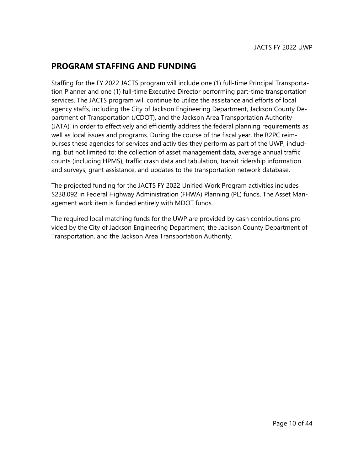## **PROGRAM STAFFING AND FUNDING**

Staffing for the FY 2022 JACTS program will include one (1) full-time Principal Transportation Planner and one (1) full-time Executive Director performing part-time transportation services. The JACTS program will continue to utilize the assistance and efforts of local agency staffs, including the City of Jackson Engineering Department, Jackson County Department of Transportation (JCDOT), and the Jackson Area Transportation Authority (JATA), in order to effectively and efficiently address the federal planning requirements as well as local issues and programs. During the course of the fiscal year, the R2PC reimburses these agencies for services and activities they perform as part of the UWP, including, but not limited to: the collection of asset management data, average annual traffic counts (including HPMS), traffic crash data and tabulation, transit ridership information and surveys, grant assistance, and updates to the transportation network database.

The projected funding for the JACTS FY 2022 Unified Work Program activities includes \$238,092 in Federal Highway Administration (FHWA) Planning (PL) funds. The Asset Management work item is funded entirely with MDOT funds.

The required local matching funds for the UWP are provided by cash contributions provided by the City of Jackson Engineering Department, the Jackson County Department of Transportation, and the Jackson Area Transportation Authority.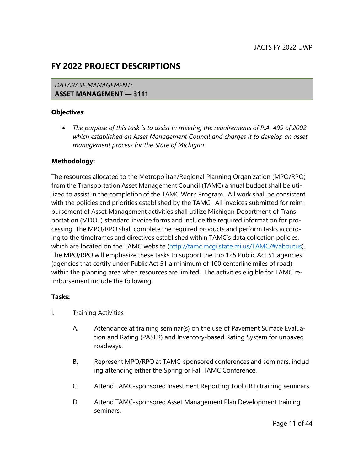## **FY 2022 PROJECT DESCRIPTIONS**

*DATABASE MANAGEMENT:* **ASSET MANAGEMENT — 3111**

#### **Objectives**:

• The purpose of this task is to assist in meeting the requirements of P.A. 499 of 2002 *which established an Asset Management Council and charges it to develop an asset management process for the State of Michigan.*

#### **Methodology:**

The resources allocated to the Metropolitan/Regional Planning Organization (MPO/RPO) from the Transportation Asset Management Council (TAMC) annual budget shall be utilized to assist in the completion of the TAMC Work Program. All work shall be consistent with the policies and priorities established by the TAMC. All invoices submitted for reimbursement of Asset Management activities shall utilize Michigan Department of Transportation (MDOT) standard invoice forms and include the required information for processing. The MPO/RPO shall complete the required products and perform tasks according to the timeframes and directives established within TAMC's data collection policies, which are located on the TAMC website (http://tamc.mcqi.state.mi.us/TAMC/#/aboutus). The MPO/RPO will emphasize these tasks to support the top 125 Public Act 51 agencies (agencies that certify under Public Act 51 a minimum of 100 centerline miles of road) within the planning area when resources are limited. The activities eligible for TAMC reimbursement include the following:

#### **Tasks:**

- I. Training Activities
	- A. Attendance at training seminar(s) on the use of Pavement Surface Evaluation and Rating (PASER) and Inventory-based Rating System for unpaved roadways.
	- B. Represent MPO/RPO at TAMC-sponsored conferences and seminars, including attending either the Spring or Fall TAMC Conference.
	- C. Attend TAMC-sponsored Investment Reporting Tool (IRT) training seminars.
	- D. Attend TAMC-sponsored Asset Management Plan Development training seminars.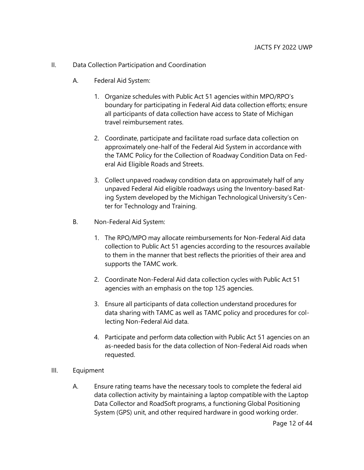- II. Data Collection Participation and Coordination
	- A. Federal Aid System:
		- 1. Organize schedules with Public Act 51 agencies within MPO/RPO's boundary for participating in Federal Aid data collection efforts; ensure all participants of data collection have access to State of Michigan travel reimbursement rates.
		- 2. Coordinate, participate and facilitate road surface data collection on approximately one-half of the Federal Aid System in accordance with the TAMC Policy for the Collection of Roadway Condition Data on Federal Aid Eligible Roads and Streets.
		- 3. Collect unpaved roadway condition data on approximately half of any unpaved Federal Aid eligible roadways using the Inventory-based Rating System developed by the Michigan Technological University's Center for Technology and Training.
	- B. Non-Federal Aid System:
		- 1. The RPO/MPO may allocate reimbursements for Non-Federal Aid data collection to Public Act 51 agencies according to the resources available to them in the manner that best reflects the priorities of their area and supports the TAMC work.
		- 2. Coordinate Non-Federal Aid data collection cycles with Public Act 51 agencies with an emphasis on the top 125 agencies.
		- 3. Ensure all participants of data collection understand procedures for data sharing with TAMC as well as TAMC policy and procedures for collecting Non-Federal Aid data.
		- 4. Participate and perform data collection with Public Act 51 agencies on an as-needed basis for the data collection of Non-Federal Aid roads when requested.
- III. Equipment
	- A. Ensure rating teams have the necessary tools to complete the federal aid data collection activity by maintaining a laptop compatible with the Laptop Data Collector and RoadSoft programs, a functioning Global Positioning System (GPS) unit, and other required hardware in good working order.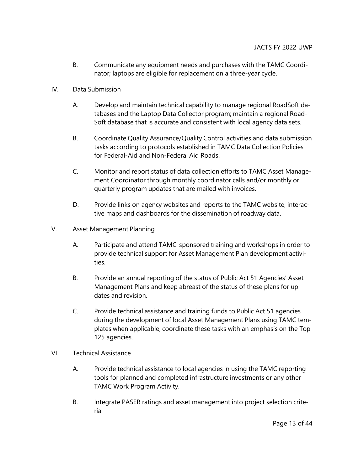- B. Communicate any equipment needs and purchases with the TAMC Coordinator; laptops are eligible for replacement on a three-year cycle.
- IV. Data Submission
	- A. Develop and maintain technical capability to manage regional RoadSoft databases and the Laptop Data Collector program; maintain a regional Road-Soft database that is accurate and consistent with local agency data sets.
	- B. Coordinate Quality Assurance/Quality Control activities and data submission tasks according to protocols established in TAMC Data Collection Policies for Federal-Aid and Non-Federal Aid Roads.
	- C. Monitor and report status of data collection efforts to TAMC Asset Management Coordinator through monthly coordinator calls and/or monthly or quarterly program updates that are mailed with invoices.
	- D. Provide links on agency websites and reports to the TAMC website, interactive maps and dashboards for the dissemination of roadway data.
- V. Asset Management Planning
	- A. Participate and attend TAMC-sponsored training and workshops in order to provide technical support for Asset Management Plan development activities.
	- B. Provide an annual reporting of the status of Public Act 51 Agencies' Asset Management Plans and keep abreast of the status of these plans for updates and revision.
	- C. Provide technical assistance and training funds to Public Act 51 agencies during the development of local Asset Management Plans using TAMC templates when applicable; coordinate these tasks with an emphasis on the Top 125 agencies.
- VI. Technical Assistance
	- A. Provide technical assistance to local agencies in using the TAMC reporting tools for planned and completed infrastructure investments or any other TAMC Work Program Activity.
	- B. Integrate PASER ratings and asset management into project selection criteria: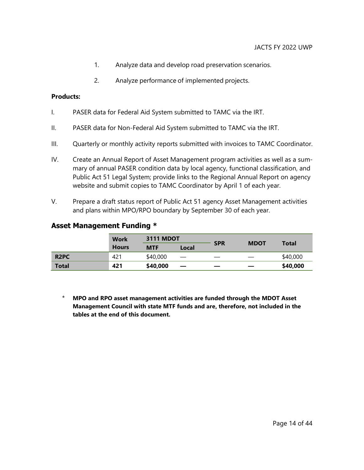- 1. Analyze data and develop road preservation scenarios.
- 2. Analyze performance of implemented projects.

#### **Products:**

- I. PASER data for Federal Aid System submitted to TAMC via the IRT.
- II. PASER data for Non-Federal Aid System submitted to TAMC via the IRT.
- III. Quarterly or monthly activity reports submitted with invoices to TAMC Coordinator.
- IV. Create an Annual Report of Asset Management program activities as well as a summary of annual PASER condition data by local agency, functional classification, and Public Act 51 Legal System; provide links to the Regional Annual Report on agency website and submit copies to TAMC Coordinator by April 1 of each year.
- V. Prepare a draft status report of Public Act 51 agency Asset Management activities and plans within MPO/RPO boundary by September 30 of each year.

#### **Asset Management Funding \***

|                   | <b>Work</b>  | 3111 MDOT  |       |            |             |              |
|-------------------|--------------|------------|-------|------------|-------------|--------------|
|                   | <b>Hours</b> | <b>MTF</b> | Local | <b>SPR</b> | <b>MDOT</b> | <b>Total</b> |
| R <sub>2</sub> PC | 421          | \$40,000   |       |            |             | \$40,000     |
| <b>Total</b>      | 421          | \$40,000   |       |            |             | \$40,000     |

\* **MPO and RPO asset management activities are funded through the MDOT Asset Management Council with state MTF funds and are, therefore, not included in the tables at the end of this document.**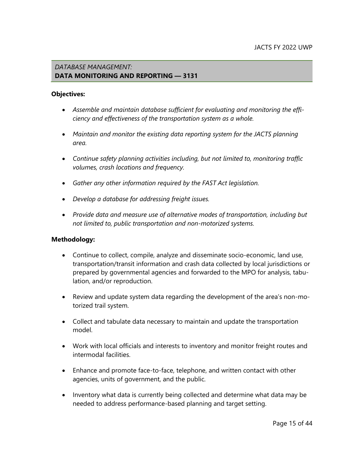#### *DATABASE MANAGEMENT:* **DATA MONITORING AND REPORTING — 3131**

#### **Objectives:**

- *Assemble and maintain database sufficient for evaluating and monitoring the efficiency and effectiveness of the transportation system as a whole.*
- *Maintain and monitor the existing data reporting system for the JACTS planning area.*
- *Continue safety planning activities including, but not limited to, monitoring traffic volumes, crash locations and frequency.*
- *Gather any other information required by the FAST Act legislation.*
- *Develop a database for addressing freight issues.*
- *Provide data and measure use of alternative modes of transportation, including but not limited to, public transportation and non-motorized systems.*

#### **Methodology:**

- Continue to collect, compile, analyze and disseminate socio-economic, land use, transportation/transit information and crash data collected by local jurisdictions or prepared by governmental agencies and forwarded to the MPO for analysis, tabulation, and/or reproduction.
- Review and update system data regarding the development of the area's non-motorized trail system.
- Collect and tabulate data necessary to maintain and update the transportation model.
- Work with local officials and interests to inventory and monitor freight routes and intermodal facilities.
- Enhance and promote face-to-face, telephone, and written contact with other agencies, units of government, and the public.
- Inventory what data is currently being collected and determine what data may be needed to address performance-based planning and target setting.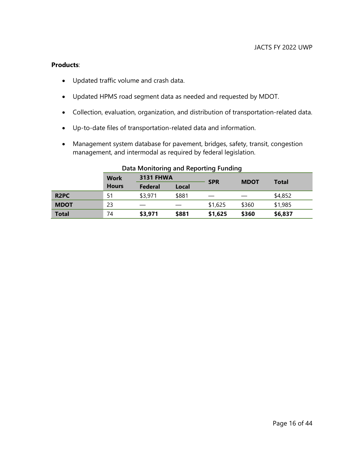#### **Products**:

- Updated traffic volume and crash data.
- Updated HPMS road segment data as needed and requested by MDOT.
- Collection, evaluation, organization, and distribution of transportation-related data.
- Up-to-date files of transportation-related data and information.
- Management system database for pavement, bridges, safety, transit, congestion management, and intermodal as required by federal legislation.

|                   | <b>Work</b>  | <b>3131 FHWA</b> |       |            | <b>MDOT</b> |              |
|-------------------|--------------|------------------|-------|------------|-------------|--------------|
|                   | <b>Hours</b> | <b>Federal</b>   | Local | <b>SPR</b> |             | <b>Total</b> |
| R <sub>2</sub> PC | 51           | \$3,971          | \$881 |            |             | \$4,852      |
| <b>MDOT</b>       | 23           |                  |       | \$1,625    | \$360       | \$1,985      |
| <b>Total</b>      | 74           | \$3,971          | \$881 | \$1,625    | \$360       | \$6,837      |

#### **Data Monitoring and Reporting Funding**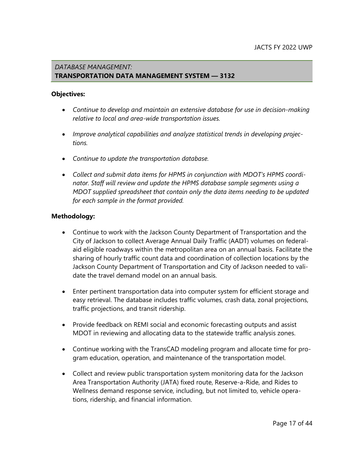#### *DATABASE MANAGEMENT:* **TRANSPORTATION DATA MANAGEMENT SYSTEM — 3132**

#### **Objectives:**

- *Continue to develop and maintain an extensive database for use in decision-making relative to local and area-wide transportation issues.*
- *Improve analytical capabilities and analyze statistical trends in developing projections.*
- *Continue to update the transportation database.*
- *Collect and submit data items for HPMS in conjunction with MDOT's HPMS coordinator. Staff will review and update the HPMS database sample segments using a MDOT supplied spreadsheet that contain only the data items needing to be updated for each sample in the format provided.*

#### **Methodology:**

- Continue to work with the Jackson County Department of Transportation and the City of Jackson to collect Average Annual Daily Traffic (AADT) volumes on federalaid eligible roadways within the metropolitan area on an annual basis. Facilitate the sharing of hourly traffic count data and coordination of collection locations by the Jackson County Department of Transportation and City of Jackson needed to validate the travel demand model on an annual basis.
- Enter pertinent transportation data into computer system for efficient storage and easy retrieval. The database includes traffic volumes, crash data, zonal projections, traffic projections, and transit ridership.
- Provide feedback on REMI social and economic forecasting outputs and assist MDOT in reviewing and allocating data to the statewide traffic analysis zones.
- Continue working with the TransCAD modeling program and allocate time for program education, operation, and maintenance of the transportation model.
- Collect and review public transportation system monitoring data for the Jackson Area Transportation Authority (JATA) fixed route, Reserve-a-Ride, and Rides to Wellness demand response service, including, but not limited to, vehicle operations, ridership, and financial information.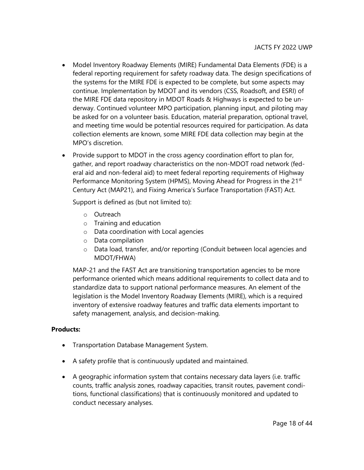- Model Inventory Roadway Elements (MIRE) Fundamental Data Elements (FDE) is a federal reporting requirement for safety roadway data. The design specifications of the systems for the MIRE FDE is expected to be complete, but some aspects may continue. Implementation by MDOT and its vendors (CSS, Roadsoft, and ESRI) of the MIRE FDE data repository in MDOT Roads & Highways is expected to be underway. Continued volunteer MPO participation, planning input, and piloting may be asked for on a volunteer basis. Education, material preparation, optional travel, and meeting time would be potential resources required for participation. As data collection elements are known, some MIRE FDE data collection may begin at the MPO's discretion.
- Provide support to MDOT in the cross agency coordination effort to plan for, gather, and report roadway characteristics on the non-MDOT road network (federal aid and non-federal aid) to meet federal reporting requirements of Highway Performance Monitoring System (HPMS), Moving Ahead for Progress in the 21<sup>st</sup> Century Act (MAP21), and Fixing America's Surface Transportation (FAST) Act.

Support is defined as (but not limited to):

- o Outreach
- o Training and education
- o Data coordination with Local agencies
- o Data compilation
- o Data load, transfer, and/or reporting (Conduit between local agencies and MDOT/FHWA)

MAP-21 and the FAST Act are transitioning transportation agencies to be more performance oriented which means additional requirements to collect data and to standardize data to support national performance measures. An element of the legislation is the Model Inventory Roadway Elements (MIRE), which is a required inventory of extensive roadway features and traffic data elements important to safety management, analysis, and decision-making.

#### **Products:**

- Transportation Database Management System.
- A safety profile that is continuously updated and maintained.
- A geographic information system that contains necessary data layers (i.e. traffic counts, traffic analysis zones, roadway capacities, transit routes, pavement conditions, functional classifications) that is continuously monitored and updated to conduct necessary analyses.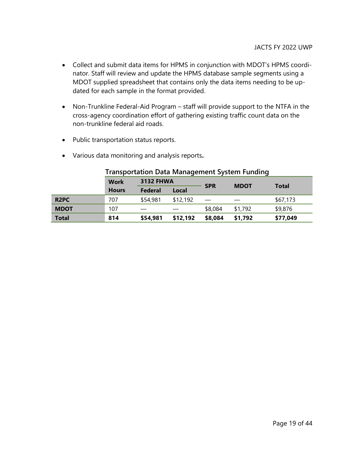- Collect and submit data items for HPMS in conjunction with MDOT's HPMS coordinator. Staff will review and update the HPMS database sample segments using a MDOT supplied spreadsheet that contains only the data items needing to be updated for each sample in the format provided.
- Non-Trunkline Federal-Aid Program staff will provide support to the NTFA in the cross-agency coordination effort of gathering existing traffic count data on the non-trunkline federal aid roads.
- Public transportation status reports.
- Various data monitoring and analysis reports**.**

|                   | <b>Work</b>  | <b>3132 FHWA</b> |          | <b>SPR</b> | <b>MDOT</b> | <b>Total</b> |
|-------------------|--------------|------------------|----------|------------|-------------|--------------|
|                   | <b>Hours</b> | Federal          | Local    |            |             |              |
| R <sub>2</sub> PC | 707          | \$54,981         | \$12,192 |            |             | \$67,173     |
| <b>MDOT</b>       | 107          |                  |          | \$8,084    | \$1,792     | \$9,876      |
| <b>Total</b>      | 814          | \$54,981         | \$12,192 | \$8,084    | \$1,792     | \$77,049     |

#### **Transportation Data Management System Funding**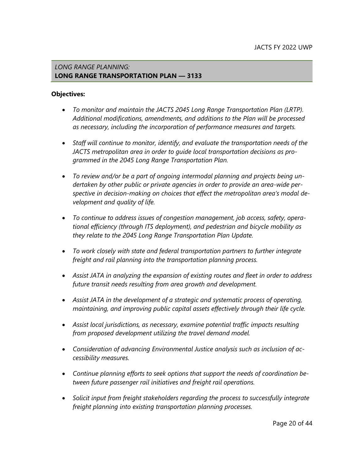#### *LONG RANGE PLANNING:* **LONG RANGE TRANSPORTATION PLAN — 3133**

#### **Objectives:**

- *To monitor and maintain the JACTS 2045 Long Range Transportation Plan (LRTP). Additional modifications, amendments, and additions to the Plan will be processed as necessary, including the incorporation of performance measures and targets.*
- *Staff will continue to monitor, identify, and evaluate the transportation needs of the JACTS metropolitan area in order to guide local transportation decisions as programmed in the 2045 Long Range Transportation Plan.*
- *To review and/or be a part of ongoing intermodal planning and projects being undertaken by other public or private agencies in order to provide an area-wide perspective in decision-making on choices that effect the metropolitan area's modal development and quality of life.*
- *To continue to address issues of congestion management, job access, safety, operational efficiency (through ITS deployment), and pedestrian and bicycle mobility as they relate to the 2045 Long Range Transportation Plan Update.*
- *To work closely with state and federal transportation partners to further integrate freight and rail planning into the transportation planning process.*
- *Assist JATA in analyzing the expansion of existing routes and fleet in order to address future transit needs resulting from area growth and development.*
- *Assist JATA in the development of a strategic and systematic process of operating, maintaining, and improving public capital assets effectively through their life cycle.*
- *Assist local jurisdictions, as necessary, examine potential traffic impacts resulting from proposed development utilizing the travel demand model.*
- *Consideration of advancing Environmental Justice analysis such as inclusion of accessibility measures.*
- *Continue planning efforts to seek options that support the needs of coordination between future passenger rail initiatives and freight rail operations.*
- *Solicit input from freight stakeholders regarding the process to successfully integrate freight planning into existing transportation planning processes.*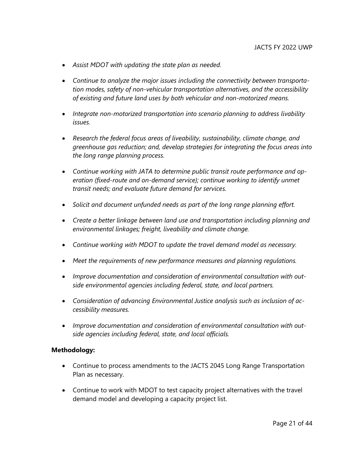- *Assist MDOT with updating the state plan as needed.*
- *Continue to analyze the major issues including the connectivity between transportation modes, safety of non-vehicular transportation alternatives, and the accessibility of existing and future land uses by both vehicular and non-motorized means.*
- *Integrate non-motorized transportation into scenario planning to address livability issues.*
- *Research the federal focus areas of liveability, sustainability, climate change, and greenhouse gas reduction; and, develop strategies for integrating the focus areas into the long range planning process.*
- *Continue working with JATA to determine public transit route performance and operation (fixed-route and on-demand service); continue working to identify unmet transit needs; and evaluate future demand for services.*
- *Solicit and document unfunded needs as part of the long range planning effort.*
- *Create a better linkage between land use and transportation including planning and environmental linkages; freight, liveability and climate change.*
- *Continue working with MDOT to update the travel demand model as necessary.*
- *Meet the requirements of new performance measures and planning regulations.*
- *Improve documentation and consideration of environmental consultation with outside environmental agencies including federal, state, and local partners.*
- *Consideration of advancing Environmental Justice analysis such as inclusion of accessibility measures.*
- *Improve documentation and consideration of environmental consultation with outside agencies including federal, state, and local officials.*

#### **Methodology:**

- Continue to process amendments to the JACTS 2045 Long Range Transportation Plan as necessary.
- Continue to work with MDOT to test capacity project alternatives with the travel demand model and developing a capacity project list.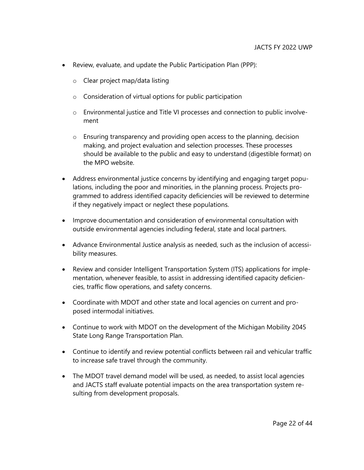- Review, evaluate, and update the Public Participation Plan (PPP):
	- o Clear project map/data listing
	- o Consideration of virtual options for public participation
	- $\circ$  Environmental justice and Title VI processes and connection to public involvement
	- o Ensuring transparency and providing open access to the planning, decision making, and project evaluation and selection processes. These processes should be available to the public and easy to understand (digestible format) on the MPO website.
- Address environmental justice concerns by identifying and engaging target populations, including the poor and minorities, in the planning process. Projects programmed to address identified capacity deficiencies will be reviewed to determine if they negatively impact or neglect these populations.
- Improve documentation and consideration of environmental consultation with outside environmental agencies including federal, state and local partners.
- Advance Environmental Justice analysis as needed, such as the inclusion of accessibility measures.
- Review and consider Intelligent Transportation System (ITS) applications for implementation, whenever feasible, to assist in addressing identified capacity deficiencies, traffic flow operations, and safety concerns.
- Coordinate with MDOT and other state and local agencies on current and proposed intermodal initiatives.
- Continue to work with MDOT on the development of the Michigan Mobility 2045 State Long Range Transportation Plan.
- Continue to identify and review potential conflicts between rail and vehicular traffic to increase safe travel through the community.
- The MDOT travel demand model will be used, as needed, to assist local agencies and JACTS staff evaluate potential impacts on the area transportation system resulting from development proposals.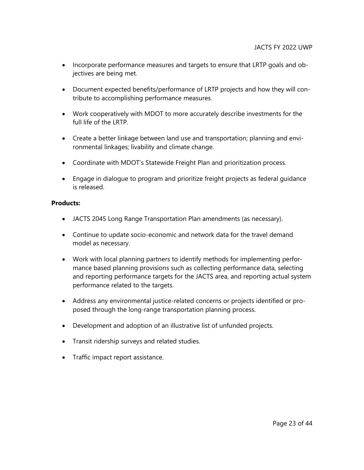- Incorporate performance measures and targets to ensure that LRTP goals and objectives are being met*.*
- Document expected benefits/performance of LRTP projects and how they will contribute to accomplishing performance measures.
- Work cooperatively with MDOT to more accurately describe investments for the full life of the LRTP.
- Create a better linkage between land use and transportation; planning and environmental linkages; livability and climate change.
- Coordinate with MDOT's Statewide Freight Plan and prioritization process.
- Engage in dialogue to program and prioritize freight projects as federal guidance is released.

#### **Products:**

- JACTS 2045 Long Range Transportation Plan amendments (as necessary).
- Continue to update socio-economic and network data for the travel demand model as necessary.
- Work with local planning partners to identify methods for implementing performance based planning provisions such as collecting performance data, selecting and reporting performance targets for the JACTS area, and reporting actual system performance related to the targets.
- Address any environmental justice-related concerns or projects identified or proposed through the long-range transportation planning process.
- Development and adoption of an illustrative list of unfunded projects.
- Transit ridership surveys and related studies.
- Traffic impact report assistance.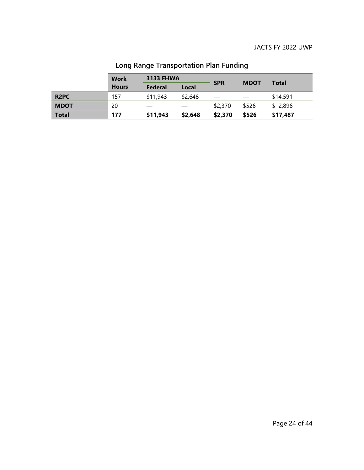|                   | <b>Work</b>  | <b>3133 FHWA</b> |         |            | <b>MDOT</b> | Total    |
|-------------------|--------------|------------------|---------|------------|-------------|----------|
|                   | <b>Hours</b> | Federal          | Local   | <b>SPR</b> |             |          |
| R <sub>2</sub> PC | 157          | \$11,943         | \$2,648 |            |             | \$14,591 |
| <b>MDOT</b>       | 20           |                  |         | \$2,370    | \$526       | \$2,896  |
| <b>Total</b>      | 177          | \$11,943         | \$2,648 | \$2,370    | \$526       | \$17,487 |

## **Long Range Transportation Plan Funding**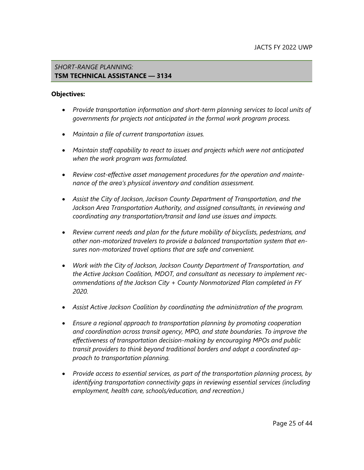#### *SHORT-RANGE PLANNING:* **TSM TECHNICAL ASSISTANCE — 3134**

#### **Objectives:**

- *Provide transportation information and short-term planning services to local units of governments for projects not anticipated in the formal work program process.*
- *Maintain a file of current transportation issues.*
- *Maintain staff capability to react to issues and projects which were not anticipated when the work program was formulated.*
- *Review cost-effective asset management procedures for the operation and maintenance of the area's physical inventory and condition assessment.*
- *Assist the City of Jackson, Jackson County Department of Transportation, and the Jackson Area Transportation Authority, and assigned consultants, in reviewing and coordinating any transportation/transit and land use issues and impacts.*
- *Review current needs and plan for the future mobility of bicyclists, pedestrians, and other non-motorized travelers to provide a balanced transportation system that ensures non-motorized travel options that are safe and convenient.*
- *Work with the City of Jackson, Jackson County Department of Transportation, and the Active Jackson Coalition, MDOT, and consultant as necessary to implement recommendations of the Jackson City + County Nonmotorized Plan completed in FY 2020.*
- *Assist Active Jackson Coalition by coordinating the administration of the program.*
- *Ensure a regional approach to transportation planning by promoting cooperation and coordination across transit agency, MPO, and state boundaries. To improve the effectiveness of transportation decision-making by encouraging MPOs and public transit providers to think beyond traditional borders and adopt a coordinated approach to transportation planning.*
- *Provide access to essential services, as part of the transportation planning process, by identifying transportation connectivity gaps in reviewing essential services (including employment, health care, schools/education, and recreation.)*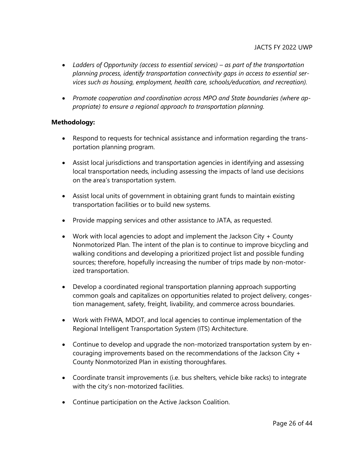- Ladders of Opportunity (access to essential services) as part of the transportation *planning process, identify transportation connectivity gaps in access to essential services such as housing, employment, health care, schools/education, and recreation).*
- *Promote cooperation and coordination across MPO and State boundaries (where appropriate) to ensure a regional approach to transportation planning.*

#### **Methodology:**

- Respond to requests for technical assistance and information regarding the transportation planning program.
- Assist local jurisdictions and transportation agencies in identifying and assessing local transportation needs, including assessing the impacts of land use decisions on the area's transportation system.
- Assist local units of government in obtaining grant funds to maintain existing transportation facilities or to build new systems.
- Provide mapping services and other assistance to JATA, as requested.
- Work with local agencies to adopt and implement the Jackson City + County Nonmotorized Plan. The intent of the plan is to continue to improve bicycling and walking conditions and developing a prioritized project list and possible funding sources; therefore, hopefully increasing the number of trips made by non-motorized transportation.
- Develop a coordinated regional transportation planning approach supporting common goals and capitalizes on opportunities related to project delivery, congestion management, safety, freight, livability, and commerce across boundaries.
- Work with FHWA, MDOT, and local agencies to continue implementation of the Regional Intelligent Transportation System (ITS) Architecture.
- Continue to develop and upgrade the non-motorized transportation system by encouraging improvements based on the recommendations of the Jackson City + County Nonmotorized Plan in existing thoroughfares.
- Coordinate transit improvements (i.e. bus shelters, vehicle bike racks) to integrate with the city's non-motorized facilities.
- Continue participation on the Active Jackson Coalition.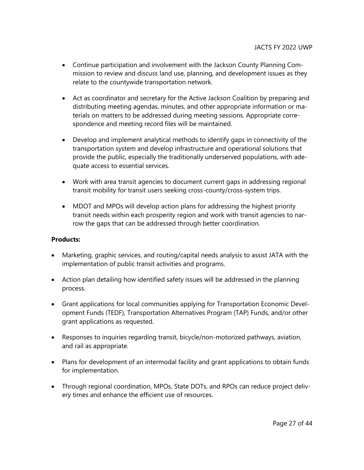- Continue participation and involvement with the Jackson County Planning Commission to review and discuss land use, planning, and development issues as they relate to the countywide transportation network.
- Act as coordinator and secretary for the Active Jackson Coalition by preparing and distributing meeting agendas, minutes, and other appropriate information or materials on matters to be addressed during meeting sessions. Appropriate correspondence and meeting record files will be maintained.
- Develop and implement analytical methods to identify gaps in connectivity of the transportation system and develop infrastructure and operational solutions that provide the public, especially the traditionally underserved populations, with adequate access to essential services.
- Work with area transit agencies to document current gaps in addressing regional transit mobility for transit users seeking cross-county/cross-system trips.
- MDOT and MPOs will develop action plans for addressing the highest priority transit needs within each prosperity region and work with transit agencies to narrow the gaps that can be addressed through better coordination.

#### **Products:**

- Marketing, graphic services, and routing/capital needs analysis to assist JATA with the implementation of public transit activities and programs.
- Action plan detailing how identified safety issues will be addressed in the planning process.
- Grant applications for local communities applying for Transportation Economic Development Funds (TEDF), Transportation Alternatives Program (TAP) Funds, and/or other grant applications as requested.
- Responses to inquiries regarding transit, bicycle/non-motorized pathways, aviation, and rail as appropriate.
- Plans for development of an intermodal facility and grant applications to obtain funds for implementation.
- Through regional coordination, MPOs, State DOTs, and RPOs can reduce project delivery times and enhance the efficient use of resources.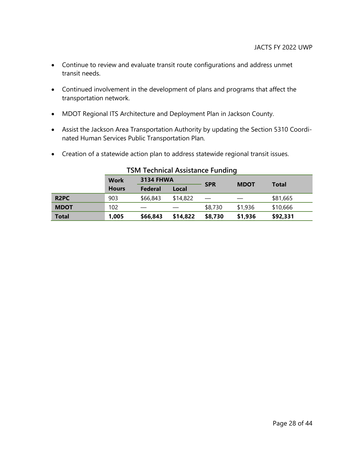- Continue to review and evaluate transit route configurations and address unmet transit needs.
- Continued involvement in the development of plans and programs that affect the transportation network.
- MDOT Regional ITS Architecture and Deployment Plan in Jackson County.
- Assist the Jackson Area Transportation Authority by updating the Section 5310 Coordinated Human Services Public Transportation Plan.
- Creation of a statewide action plan to address statewide regional transit issues.

|                   | <b>Work</b>  | <b>3134 FHWA</b> |          | <b>SPR</b> | <b>MDOT</b> | <b>Total</b> |
|-------------------|--------------|------------------|----------|------------|-------------|--------------|
|                   | <b>Hours</b> | Federal          | Local    |            |             |              |
| R <sub>2</sub> PC | 903          | \$66,843         | \$14,822 |            |             | \$81,665     |
| <b>MDOT</b>       | 102          |                  |          | \$8,730    | \$1,936     | \$10,666     |
| <b>Total</b>      | 1,005        | \$66,843         | \$14,822 | \$8,730    | \$1,936     | \$92,331     |

#### **TSM Technical Assistance Funding**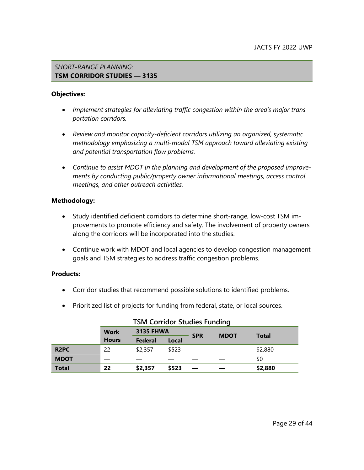#### *SHORT-RANGE PLANNING:* **TSM CORRIDOR STUDIES — 3135**

#### **Objectives:**

- Implement strategies for alleviating traffic congestion within the area's major trans*portation corridors.*
- *Review and monitor capacity-deficient corridors utilizing an organized, systematic methodology emphasizing a multi-modal TSM approach toward alleviating existing and potential transportation flow problems.*
- *Continue to assist MDOT in the planning and development of the proposed improvements by conducting public/property owner informational meetings, access control meetings, and other outreach activities.*

#### **Methodology:**

- Study identified deficient corridors to determine short-range, low-cost TSM improvements to promote efficiency and safety. The involvement of property owners along the corridors will be incorporated into the studies.
- Continue work with MDOT and local agencies to develop congestion management goals and TSM strategies to address traffic congestion problems.

#### **Products:**

- Corridor studies that recommend possible solutions to identified problems.
- Prioritized list of projects for funding from federal, state, or local sources.

|                   | <b>Work</b>  | <b>3135 FHWA</b> |       |            | <b>MDOT</b> | <b>Total</b> |  |  |  |
|-------------------|--------------|------------------|-------|------------|-------------|--------------|--|--|--|
|                   | <b>Hours</b> | <b>Federal</b>   | Local | <b>SPR</b> |             |              |  |  |  |
| R <sub>2</sub> PC | 22           | \$2,357          | \$523 |            |             | \$2,880      |  |  |  |
| <b>MDOT</b>       |              |                  |       |            |             | \$0          |  |  |  |
| <b>Total</b>      | 22           | \$2,357          | \$523 |            |             | \$2,880      |  |  |  |

#### **TSM Corridor Studies Funding**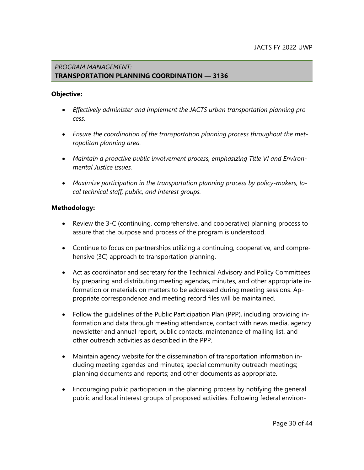#### *PROGRAM MANAGEMENT:* **TRANSPORTATION PLANNING COORDINATION — 3136**

#### **Objective:**

- *Effectively administer and implement the JACTS urban transportation planning process.*
- *Ensure the coordination of the transportation planning process throughout the metropolitan planning area.*
- *Maintain a proactive public involvement process, emphasizing Title VI and Environmental Justice issues.*
- *Maximize participation in the transportation planning process by policy-makers, local technical staff, public, and interest groups.*

#### **Methodology:**

- Review the 3-C (continuing, comprehensive, and cooperative) planning process to assure that the purpose and process of the program is understood.
- Continue to focus on partnerships utilizing a continuing, cooperative, and comprehensive (3C) approach to transportation planning.
- Act as coordinator and secretary for the Technical Advisory and Policy Committees by preparing and distributing meeting agendas, minutes, and other appropriate information or materials on matters to be addressed during meeting sessions. Appropriate correspondence and meeting record files will be maintained.
- Follow the guidelines of the Public Participation Plan (PPP), including providing information and data through meeting attendance, contact with news media, agency newsletter and annual report, public contacts, maintenance of mailing list, and other outreach activities as described in the PPP.
- Maintain agency website for the dissemination of transportation information including meeting agendas and minutes; special community outreach meetings; planning documents and reports; and other documents as appropriate.
- Encouraging public participation in the planning process by notifying the general public and local interest groups of proposed activities. Following federal environ-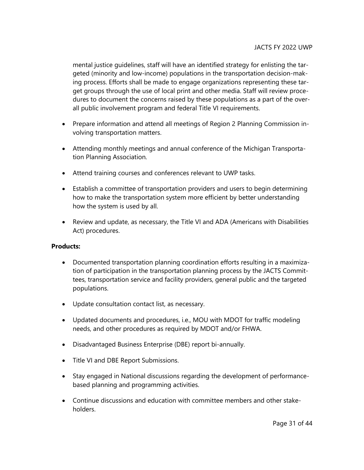mental justice guidelines, staff will have an identified strategy for enlisting the targeted (minority and low-income) populations in the transportation decision-making process. Efforts shall be made to engage organizations representing these target groups through the use of local print and other media. Staff will review procedures to document the concerns raised by these populations as a part of the overall public involvement program and federal Title VI requirements.

- Prepare information and attend all meetings of Region 2 Planning Commission involving transportation matters.
- Attending monthly meetings and annual conference of the Michigan Transportation Planning Association.
- Attend training courses and conferences relevant to UWP tasks.
- Establish a committee of transportation providers and users to begin determining how to make the transportation system more efficient by better understanding how the system is used by all.
- Review and update, as necessary, the Title VI and ADA (Americans with Disabilities Act) procedures.

#### **Products:**

- Documented transportation planning coordination efforts resulting in a maximization of participation in the transportation planning process by the JACTS Committees, transportation service and facility providers, general public and the targeted populations.
- Update consultation contact list, as necessary.
- Updated documents and procedures, i.e., MOU with MDOT for traffic modeling needs, and other procedures as required by MDOT and/or FHWA.
- Disadvantaged Business Enterprise (DBE) report bi-annually.
- Title VI and DBE Report Submissions.
- Stay engaged in National discussions regarding the development of performancebased planning and programming activities.
- Continue discussions and education with committee members and other stakeholders.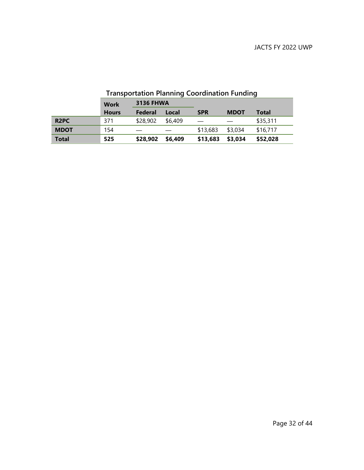|                   | <b>Work</b>  | <b>3136 FHWA</b> | Transportation Planning Coordination Funding |            |             |              |
|-------------------|--------------|------------------|----------------------------------------------|------------|-------------|--------------|
|                   | <b>Hours</b> | <b>Federal</b>   | Local                                        | <b>SPR</b> | <b>MDOT</b> | <b>Total</b> |
| R <sub>2</sub> PC | 371          | \$28,902         | \$6,409                                      |            |             | \$35,311     |
| <b>MDOT</b>       | 154          |                  |                                              | \$13,683   | \$3,034     | \$16,717     |
| <b>Total</b>      | 525          | \$28,902         | \$6,409                                      | \$13,683   | \$3,034     | \$52,028     |

### **Transportation Planning Coordination Funding**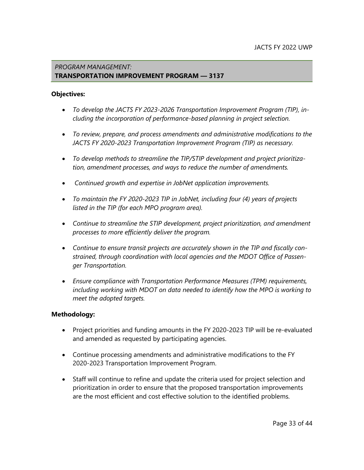#### *PROGRAM MANAGEMENT:* **TRANSPORTATION IMPROVEMENT PROGRAM — 3137**

#### **Objectives:**

- *To develop the JACTS FY 2023-2026 Transportation Improvement Program (TIP), including the incorporation of performance-based planning in project selection.*
- *To review, prepare, and process amendments and administrative modifications to the JACTS FY 2020-2023 Transportation Improvement Program (TIP) as necessary.*
- *To develop methods to streamline the TIP/STIP development and project prioritization, amendment processes, and ways to reduce the number of amendments.*
- *Continued growth and expertise in JobNet application improvements.*
- *To maintain the FY 2020-2023 TIP in JobNet, including four (4) years of projects listed in the TIP (for each MPO program area).*
- *Continue to streamline the STIP development, project prioritization, and amendment processes to more efficiently deliver the program.*
- *Continue to ensure transit projects are accurately shown in the TIP and fiscally constrained, through coordination with local agencies and the MDOT Office of Passenger Transportation.*
- *Ensure compliance with Transportation Performance Measures (TPM) requirements, including working with MDOT on data needed to identify how the MPO is working to meet the adopted targets.*

#### **Methodology:**

- Project priorities and funding amounts in the FY 2020-2023 TIP will be re-evaluated and amended as requested by participating agencies.
- Continue processing amendments and administrative modifications to the FY 2020-2023 Transportation Improvement Program.
- Staff will continue to refine and update the criteria used for project selection and prioritization in order to ensure that the proposed transportation improvements are the most efficient and cost effective solution to the identified problems.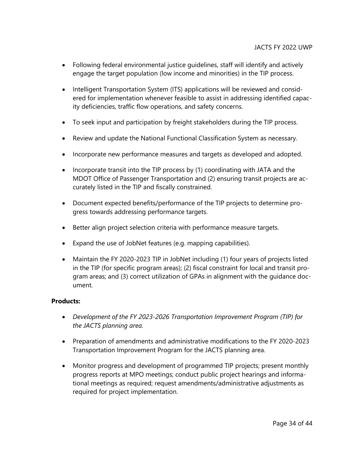- Following federal environmental justice guidelines, staff will identify and actively engage the target population (low income and minorities) in the TIP process.
- Intelligent Transportation System (ITS) applications will be reviewed and considered for implementation whenever feasible to assist in addressing identified capacity deficiencies, traffic flow operations, and safety concerns.
- To seek input and participation by freight stakeholders during the TIP process.
- Review and update the National Functional Classification System as necessary.
- Incorporate new performance measures and targets as developed and adopted.
- Incorporate transit into the TIP process by (1) coordinating with JATA and the MDOT Office of Passenger Transportation and (2) ensuring transit projects are accurately listed in the TIP and fiscally constrained.
- Document expected benefits/performance of the TIP projects to determine progress towards addressing performance targets.
- Better align project selection criteria with performance measure targets.
- Expand the use of JobNet features (e.g. mapping capabilities).
- Maintain the FY 2020-2023 TIP in JobNet including (1) four years of projects listed in the TIP (for specific program areas); (2) fiscal constraint for local and transit program areas; and (3) correct utilization of GPAs in alignment with the guidance document.

#### **Products:**

- *Development of the FY 2023-2026 Transportation Improvement Program (TIP) for the JACTS planning area.*
- Preparation of amendments and administrative modifications to the FY 2020-2023 Transportation Improvement Program for the JACTS planning area.
- Monitor progress and development of programmed TIP projects; present monthly progress reports at MPO meetings; conduct public project hearings and informational meetings as required; request amendments/administrative adjustments as required for project implementation.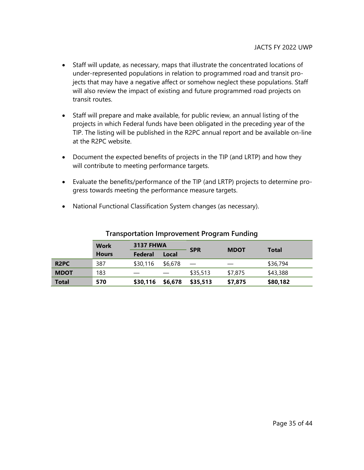- Staff will update, as necessary, maps that illustrate the concentrated locations of under-represented populations in relation to programmed road and transit projects that may have a negative affect or somehow neglect these populations. Staff will also review the impact of existing and future programmed road projects on transit routes.
- Staff will prepare and make available, for public review, an annual listing of the projects in which Federal funds have been obligated in the preceding year of the TIP. The listing will be published in the R2PC annual report and be available on-line at the R2PC website.
- Document the expected benefits of projects in the TIP (and LRTP) and how they will contribute to meeting performance targets.
- Evaluate the benefits/performance of the TIP (and LRTP) projects to determine progress towards meeting the performance measure targets.
- National Functional Classification System changes (as necessary).

|                   | <b>Work</b>  | <b>3137 FHWA</b> |         |            | <b>MDOT</b> |              |
|-------------------|--------------|------------------|---------|------------|-------------|--------------|
|                   | <b>Hours</b> | Federal          | Local   | <b>SPR</b> |             | <b>Total</b> |
| R <sub>2</sub> PC | 387          | \$30,116         | \$6,678 |            |             | \$36,794     |
| <b>MDOT</b>       | 183          |                  |         | \$35,513   | \$7,875     | \$43,388     |
| <b>Total</b>      | 570          | \$30,116         | \$6,678 | \$35,513   | \$7,875     | \$80,182     |

#### **Transportation Improvement Program Funding**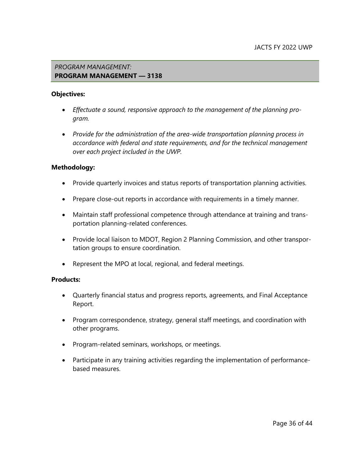#### *PROGRAM MANAGEMENT:* **PROGRAM MANAGEMENT — 3138**

#### **Objectives:**

- *Effectuate a sound, responsive approach to the management of the planning program.*
- *Provide for the administration of the area-wide transportation planning process in accordance with federal and state requirements, and for the technical management over each project included in the UWP.*

#### **Methodology:**

- Provide quarterly invoices and status reports of transportation planning activities.
- Prepare close-out reports in accordance with requirements in a timely manner.
- Maintain staff professional competence through attendance at training and transportation planning-related conferences.
- Provide local liaison to MDOT, Region 2 Planning Commission, and other transportation groups to ensure coordination.
- Represent the MPO at local, regional, and federal meetings.

#### **Products:**

- Quarterly financial status and progress reports, agreements, and Final Acceptance Report.
- Program correspondence, strategy, general staff meetings, and coordination with other programs.
- Program-related seminars, workshops, or meetings.
- Participate in any training activities regarding the implementation of performancebased measures.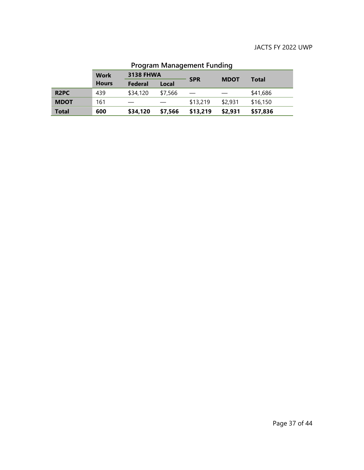|                   |              | Program Management Funding |         |            |             |              |  |  |  |
|-------------------|--------------|----------------------------|---------|------------|-------------|--------------|--|--|--|
|                   | <b>Work</b>  | <b>3138 FHWA</b>           |         |            | <b>MDOT</b> | <b>Total</b> |  |  |  |
|                   | <b>Hours</b> | <b>Federal</b>             | Local   | <b>SPR</b> |             |              |  |  |  |
| R <sub>2</sub> PC | 439          | \$34,120                   | \$7,566 |            |             | \$41,686     |  |  |  |
| <b>MDOT</b>       | 161          |                            |         | \$13,219   | \$2,931     | \$16,150     |  |  |  |
| <b>Total</b>      | 600          | \$34,120                   | \$7,566 | \$13,219   | \$2,931     | \$57,836     |  |  |  |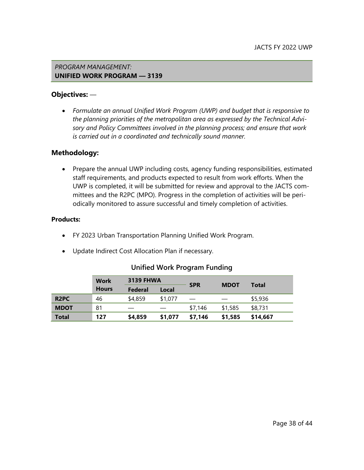#### *PROGRAM MANAGEMENT:* **UNIFIED WORK PROGRAM — 3139**

#### **Objectives:** *—*

 *Formulate an annual Unified Work Program (UWP) and budget that is responsive to the planning priorities of the metropolitan area as expressed by the Technical Advisory and Policy Committees involved in the planning process; and ensure that work is carried out in a coordinated and technically sound manner.*

#### **Methodology:**

 Prepare the annual UWP including costs, agency funding responsibilities, estimated staff requirements, and products expected to result from work efforts. When the UWP is completed, it will be submitted for review and approval to the JACTS committees and the R2PC (MPO). Progress in the completion of activities will be periodically monitored to assure successful and timely completion of activities.

#### **Products:**

- FY 2023 Urban Transportation Planning Unified Work Program.
- Update Indirect Cost Allocation Plan if necessary.

|                   | <b>3139 FHWA</b><br><b>Work</b> |                  | <b>SPR</b> | <b>MDOT</b> | <b>Total</b> |          |
|-------------------|---------------------------------|------------------|------------|-------------|--------------|----------|
|                   | <b>Hours</b>                    | Federal<br>Local |            |             |              |          |
| R <sub>2</sub> PC | 46                              | \$4,859          | \$1,077    |             |              | \$5,936  |
| <b>MDOT</b>       | 81                              |                  |            | \$7,146     | \$1,585      | \$8,731  |
| <b>Total</b>      | 127                             | \$4,859          | \$1,077    | \$7,146     | \$1,585      | \$14,667 |

#### **Unified Work Program Funding**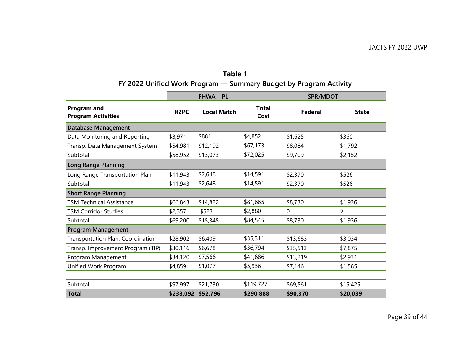| Table 1                                                           |
|-------------------------------------------------------------------|
| FY 2022 Unified Work Program — Summary Budget by Program Activity |

|                                                 | <b>FHWA-PL</b> |                    |                      | SPR/MDOT       |              |  |
|-------------------------------------------------|----------------|--------------------|----------------------|----------------|--------------|--|
| <b>Program and</b><br><b>Program Activities</b> | <b>R2PC</b>    | <b>Local Match</b> | <b>Total</b><br>Cost | <b>Federal</b> | <b>State</b> |  |
| <b>Database Management</b>                      |                |                    |                      |                |              |  |
| Data Monitoring and Reporting                   | \$3,971        | \$881              | \$4,852              | \$1,625        | \$360        |  |
| Transp. Data Management System                  | \$54,981       | \$12,192           | \$67,173             | \$8,084        | \$1,792      |  |
| Subtotal                                        | \$58,952       | \$13,073           | \$72,025             | \$9,709        | \$2,152      |  |
| <b>Long Range Planning</b>                      |                |                    |                      |                |              |  |
| Long Range Transportation Plan                  | \$11,943       | \$2,648            | \$14,591             | \$2,370        | \$526        |  |
| Subtotal                                        | \$11,943       | \$2,648            | \$14,591             | \$2,370        | \$526        |  |
| <b>Short Range Planning</b>                     |                |                    |                      |                |              |  |
| <b>TSM Technical Assistance</b>                 | \$66,843       | \$14,822           | \$81,665             | \$8,730        | \$1,936      |  |
| <b>TSM Corridor Studies</b>                     | \$2,357        | \$523              | \$2,880              | 0              | $\circ$      |  |
| Subtotal                                        | \$69,200       | \$15,345           | \$84,545             | \$8,730        | \$1,936      |  |
| <b>Program Management</b>                       |                |                    |                      |                |              |  |
| Transportation Plan. Coordination               | \$28,902       | \$6,409            | \$35,311             | \$13,683       | \$3,034      |  |
| Transp. Improvement Program (TIP)               | \$30,116       | \$6,678            | \$36,794             | \$35,513       | \$7,875      |  |
| Program Management                              | \$34,120       | \$7,566            | \$41,686             | \$13,219       | \$2,931      |  |
| Unified Work Program                            | \$4,859        | \$1,077            | \$5,936              | \$7,146        | \$1,585      |  |
|                                                 |                |                    |                      |                |              |  |
| Subtotal                                        | \$97,997       | \$21,730           | \$119,727            | \$69,561       | \$15,425     |  |
| <b>Total</b>                                    | \$238,092      | \$52,796           | \$290,888            | \$90,370       | \$20,039     |  |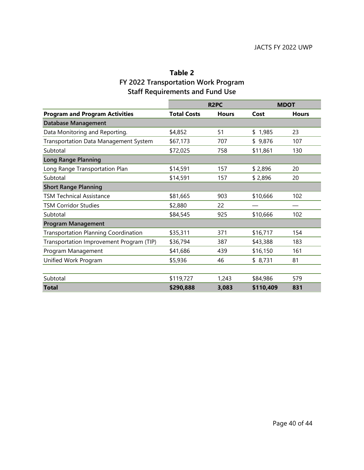#### **Table 2**

## **FY 2022 Transportation Work Program**

#### **Staff Requirements and Fund Use**

|                                             | <b>R2PC</b>        |              | <b>MDOT</b> |              |
|---------------------------------------------|--------------------|--------------|-------------|--------------|
| <b>Program and Program Activities</b>       | <b>Total Costs</b> | <b>Hours</b> | Cost        | <b>Hours</b> |
| <b>Database Management</b>                  |                    |              |             |              |
| Data Monitoring and Reporting.              | \$4,852            | 51           | \$1,985     | 23           |
| Transportation Data Management System       | \$67,173           | 707          | \$9,876     | 107          |
| Subtotal                                    | \$72,025           | 758          | \$11,861    | 130          |
| <b>Long Range Planning</b>                  |                    |              |             |              |
| Long Range Transportation Plan              | \$14,591           | 157          | \$2,896     | 20           |
| Subtotal                                    | \$14,591           | 157          | \$2,896     | 20           |
| <b>Short Range Planning</b>                 |                    |              |             |              |
| <b>TSM Technical Assistance</b>             | \$81,665           | 903          | \$10,666    | 102          |
| <b>TSM Corridor Studies</b>                 | \$2,880            | 22           |             |              |
| Subtotal                                    | \$84,545           | 925          | \$10,666    | 102          |
| <b>Program Management</b>                   |                    |              |             |              |
| <b>Transportation Planning Coordination</b> | \$35,311           | 371          | \$16,717    | 154          |
| Transportation Improvement Program (TIP)    | \$36,794           | 387          | \$43,388    | 183          |
| Program Management                          | \$41,686           | 439          | \$16,150    | 161          |
| Unified Work Program                        | \$5,936            | 46           | \$8,731     | 81           |
|                                             |                    |              |             |              |
| Subtotal                                    | \$119,727          | 1,243        | \$84,986    | 579          |
| <b>Total</b>                                | \$290,888          | 3,083        | \$110,409   | 831          |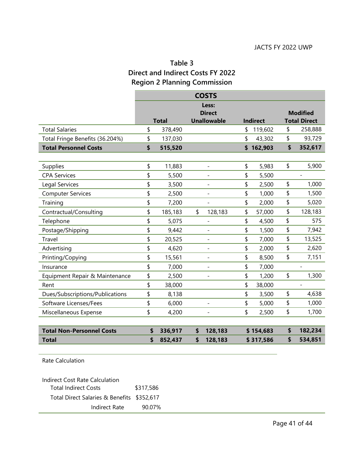## **Table 3 Direct and Indirect Costs FY 2022 Region 2 Planning Commission**

|                                  |               | <b>COSTS</b>             |                 |                          |
|----------------------------------|---------------|--------------------------|-----------------|--------------------------|
|                                  |               | Less:                    |                 |                          |
|                                  |               | <b>Direct</b>            |                 | <b>Modified</b>          |
|                                  | <b>Total</b>  | <b>Unallowable</b>       | <b>Indirect</b> | <b>Total Direct</b>      |
| <b>Total Salaries</b>            | \$<br>378,490 |                          | \$<br>119,602   | \$<br>258,888            |
| Total Fringe Benefits (36.204%)  | \$<br>137,030 |                          | \$<br>43,302    | \$<br>93,729             |
| <b>Total Personnel Costs</b>     | \$<br>515,520 |                          | \$162,903       | \$<br>352,617            |
|                                  |               |                          |                 |                          |
| <b>Supplies</b>                  | \$<br>11,883  | $\overline{\phantom{a}}$ | \$<br>5,983     | \$<br>5,900              |
| <b>CPA Services</b>              | \$<br>5,500   |                          | \$<br>5,500     |                          |
| Legal Services                   | \$<br>3,500   | $\overline{\phantom{a}}$ | \$<br>2,500     | \$<br>1,000              |
| <b>Computer Services</b>         | \$<br>2,500   | $\overline{\phantom{0}}$ | \$<br>1,000     | \$<br>1,500              |
| Training                         | \$<br>7,200   |                          | \$<br>2,000     | \$<br>5,020              |
| Contractual/Consulting           | \$<br>185,183 | \$<br>128,183            | \$<br>57,000    | \$<br>128,183            |
| Telephone                        | \$<br>5,075   | $\qquad \qquad -$        | \$<br>4,500     | \$<br>575                |
| Postage/Shipping                 | \$<br>9,442   | $\overline{\phantom{0}}$ | \$<br>1,500     | \$<br>7,942              |
| Travel                           | \$<br>20,525  | $\overline{\phantom{a}}$ | \$<br>7,000     | \$<br>13,525             |
| Advertising                      | \$<br>4,620   | $\overline{\phantom{a}}$ | \$<br>2,000     | \$<br>2,620              |
| Printing/Copying                 | \$<br>15,561  | $\overline{a}$           | \$<br>8,500     | \$<br>7,151              |
| Insurance                        | \$<br>7,000   | $\overline{\phantom{a}}$ | \$<br>7,000     | $\overline{\phantom{a}}$ |
| Equipment Repair & Maintenance   | \$<br>2,500   |                          | \$<br>1,200     | \$<br>1,300              |
| Rent                             | \$<br>38,000  |                          | \$<br>38,000    | $\overline{\phantom{0}}$ |
| Dues/Subscriptions/Publications  | \$<br>8,138   |                          | \$<br>3,500     | \$<br>4,638              |
| Software Licenses/Fees           | \$<br>6,000   |                          | \$<br>5,000     | \$<br>1,000              |
| Miscellaneous Expense            | \$<br>4,200   |                          | \$<br>2,500     | \$<br>1,700              |
|                                  |               |                          |                 |                          |
| <b>Total Non-Personnel Costs</b> | \$<br>336,917 | \$<br>128,183            | \$154,683       | \$<br>182,234            |
| <b>Total</b>                     | \$<br>852,437 | \$<br>128,183            | \$317,586       | \$<br>534,851            |

Rate Calculation

| Indirect Cost Rate Calculation             |           |
|--------------------------------------------|-----------|
| <b>Total Indirect Costs</b>                | \$317,586 |
| Total Direct Salaries & Benefits \$352,617 |           |
| Indirect Rate                              | 90.07%    |
|                                            |           |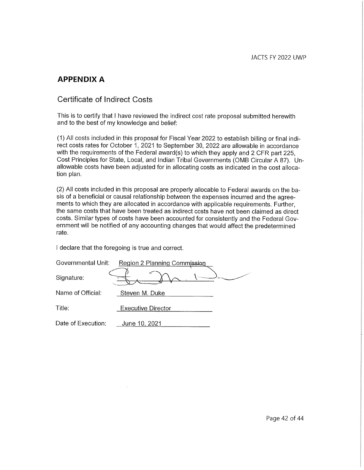## **APPENDIX A**

#### Certificate of Indirect Costs

This is to certify that I have reviewed the indirect cost rate proposal submitted herewith and to the best of my knowledge and belief:

(1) All costs included in this proposal for Fiscal Year 2022 to establish billing or final indirect costs rates for October 1, 2021 to September 30, 2022 are allowable in accordance with the requirements of the Federal award(s) to which they apply and 2 CFR part 225. Cost Principles for State, Local, and Indian Tribal Governments (OMB Circular A 87). Unallowable costs have been adjusted for in allocating costs as indicated in the cost allocation plan.

(2) All costs included in this proposal are properly allocable to Federal awards on the basis of a beneficial or causal relationship between the expenses incurred and the agreements to which they are allocated in accordance with applicable requirements. Further, the same costs that have been treated as indirect costs have not been claimed as direct costs. Similar types of costs have been accounted for consistently and the Federal Government will be notified of any accounting changes that would affect the predetermined rate.

I declare that the foregoing is true and correct.

| Governmental Unit: | Region 2 Planning Commission |
|--------------------|------------------------------|
| Signature:         |                              |
| Name of Official:  | Steven M. Duke               |
| Title:             | <b>Executive Director</b>    |
| Date of Execution: | June 10, 2021                |

Page 42 of 44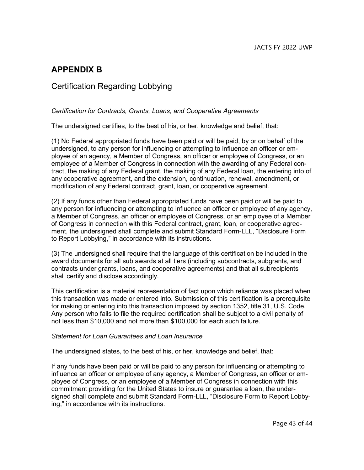## **APPENDIX B**

## Certification Regarding Lobbying

#### *Certification for Contracts, Grants, Loans, and Cooperative Agreements*

The undersigned certifies, to the best of his, or her, knowledge and belief, that:

(1) No Federal appropriated funds have been paid or will be paid, by or on behalf of the undersigned, to any person for influencing or attempting to influence an officer or employee of an agency, a Member of Congress, an officer or employee of Congress, or an employee of a Member of Congress in connection with the awarding of any Federal contract, the making of any Federal grant, the making of any Federal loan, the entering into of any cooperative agreement, and the extension, continuation, renewal, amendment, or modification of any Federal contract, grant, loan, or cooperative agreement.

(2) If any funds other than Federal appropriated funds have been paid or will be paid to any person for influencing or attempting to influence an officer or employee of any agency, a Member of Congress, an officer or employee of Congress, or an employee of a Member of Congress in connection with this Federal contract, grant, loan, or cooperative agreement, the undersigned shall complete and submit Standard Form-LLL, "Disclosure Form to Report Lobbying," in accordance with its instructions.

(3) The undersigned shall require that the language of this certification be included in the award documents for all sub awards at all tiers (including subcontracts, subgrants, and contracts under grants, loans, and cooperative agreements) and that all subrecipients shall certify and disclose accordingly.

This certification is a material representation of fact upon which reliance was placed when this transaction was made or entered into. Submission of this certification is a prerequisite for making or entering into this transaction imposed by section 1352, title 31, U.S. Code. Any person who fails to file the required certification shall be subject to a civil penalty of not less than \$10,000 and not more than \$100,000 for each such failure.

#### *Statement for Loan Guarantees and Loan Insurance*

The undersigned states, to the best of his, or her, knowledge and belief, that:

If any funds have been paid or will be paid to any person for influencing or attempting to influence an officer or employee of any agency, a Member of Congress, an officer or employee of Congress, or an employee of a Member of Congress in connection with this commitment providing for the United States to insure or guarantee a loan, the undersigned shall complete and submit Standard Form-LLL, "Disclosure Form to Report Lobbying," in accordance with its instructions.